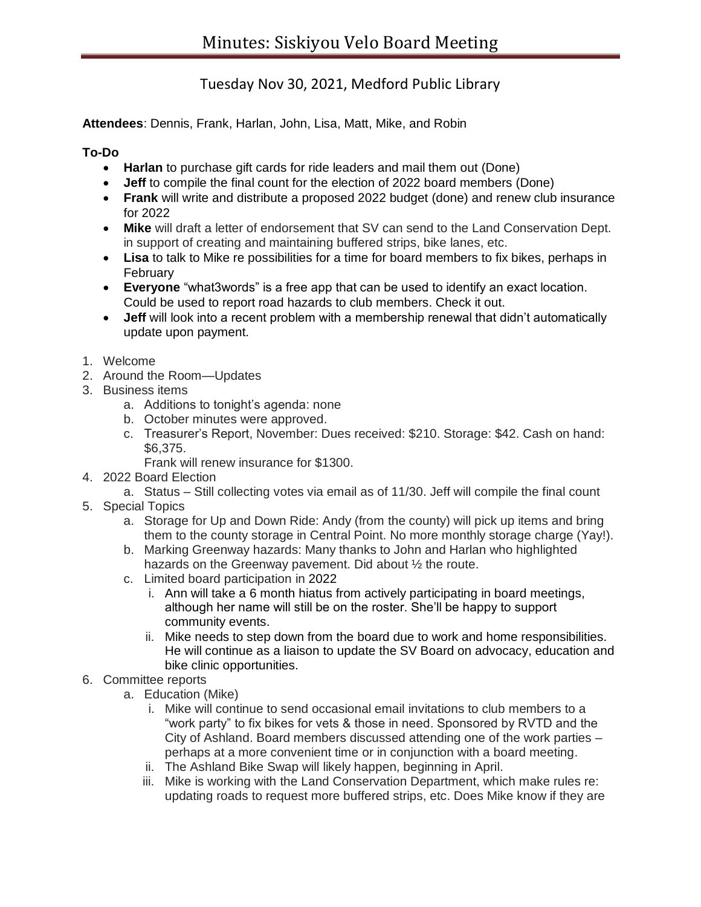## Tuesday Nov 30, 2021, Medford Public Library

**Attendees**: Dennis, Frank, Harlan, John, Lisa, Matt, Mike, and Robin

## **To-Do**

- **Harlan** to purchase gift cards for ride leaders and mail them out (Done)
- **Jeff** to compile the final count for the election of 2022 board members (Done)
- **Frank** will write and distribute a proposed 2022 budget (done) and renew club insurance for 2022
- **Mike** will draft a letter of endorsement that SV can send to the Land Conservation Dept. in support of creating and maintaining buffered strips, bike lanes, etc.
- **Lisa** to talk to Mike re possibilities for a time for board members to fix bikes, perhaps in February
- **Everyone** "what3words" is a free app that can be used to identify an exact location. Could be used to report road hazards to club members. Check it out.
- **Jeff** will look into a recent problem with a membership renewal that didn't automatically update upon payment.
- 1. Welcome
- 2. Around the Room—Updates
- 3. Business items
	- a. Additions to tonight's agenda: none
	- b. October minutes were approved.
	- c. Treasurer's Report, November: Dues received: \$210. Storage: \$42. Cash on hand: \$6,375.
		- Frank will renew insurance for \$1300.
- 4. 2022 Board Election
	- a. Status Still collecting votes via email as of 11/30. Jeff will compile the final count
- 5. Special Topics
	- a. Storage for Up and Down Ride: Andy (from the county) will pick up items and bring them to the county storage in Central Point. No more monthly storage charge (Yay!).
	- b. Marking Greenway hazards: Many thanks to John and Harlan who highlighted hazards on the Greenway pavement. Did about ½ the route.
	- c. Limited board participation in 2022
		- i. Ann will take a 6 month hiatus from actively participating in board meetings, although her name will still be on the roster. She'll be happy to support community events.
		- ii. Mike needs to step down from the board due to work and home responsibilities. He will continue as a liaison to update the SV Board on advocacy, education and bike clinic opportunities.
- 6. Committee reports
	- a. Education (Mike)
		- i. Mike will continue to send occasional email invitations to club members to a "work party" to fix bikes for vets & those in need. Sponsored by RVTD and the City of Ashland. Board members discussed attending one of the work parties – perhaps at a more convenient time or in conjunction with a board meeting.
		- ii. The Ashland Bike Swap will likely happen, beginning in April.
		- iii. Mike is working with the Land Conservation Department, which make rules re: updating roads to request more buffered strips, etc. Does Mike know if they are